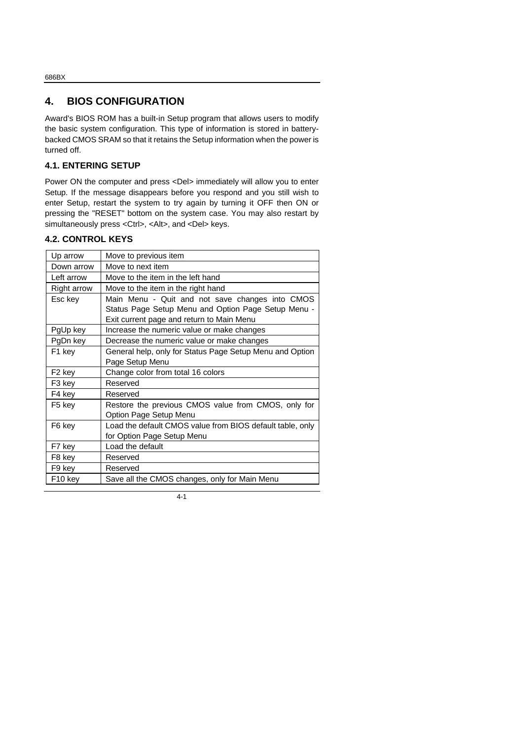## **4. BIOS CONFIGURATION**

Award's BIOS ROM has a built-in Setup program that allows users to modify the basic system configuration. This type of information is stored in batterybacked CMOS SRAM so that it retains the Setup information when the power is turned off.

#### **4.1. ENTERING SETUP**

Power ON the computer and press <Del> immediately will allow you to enter Setup. If the message disappears before you respond and you still wish to enter Setup, restart the system to try again by turning it OFF then ON or pressing the "RESET" bottom on the system case. You may also restart by simultaneously press <Ctrl>, <Alt>, and <Del> keys.

#### **4.2. CONTROL KEYS**

| Up arrow            | Move to previous item                                     |
|---------------------|-----------------------------------------------------------|
| Down arrow          | Move to next item                                         |
| Left arrow          | Move to the item in the left hand                         |
| <b>Right arrow</b>  | Move to the item in the right hand                        |
| Esc key             | Main Menu - Quit and not save changes into CMOS           |
|                     | Status Page Setup Menu and Option Page Setup Menu -       |
|                     | Exit current page and return to Main Menu                 |
| PgUp key            | Increase the numeric value or make changes                |
| PgDn key            | Decrease the numeric value or make changes                |
| F1 key              | General help, only for Status Page Setup Menu and Option  |
|                     | Page Setup Menu                                           |
| F <sub>2</sub> key  | Change color from total 16 colors                         |
| F3 key              | Reserved                                                  |
| F4 key              | Reserved                                                  |
| F5 key              | Restore the previous CMOS value from CMOS, only for       |
|                     | Option Page Setup Menu                                    |
| F6 key              | Load the default CMOS value from BIOS default table, only |
|                     | for Option Page Setup Menu                                |
| F7 key              | Load the default                                          |
| F8 key              | Reserved                                                  |
| F9 key              | Reserved                                                  |
| F <sub>10</sub> key | Save all the CMOS changes, only for Main Menu             |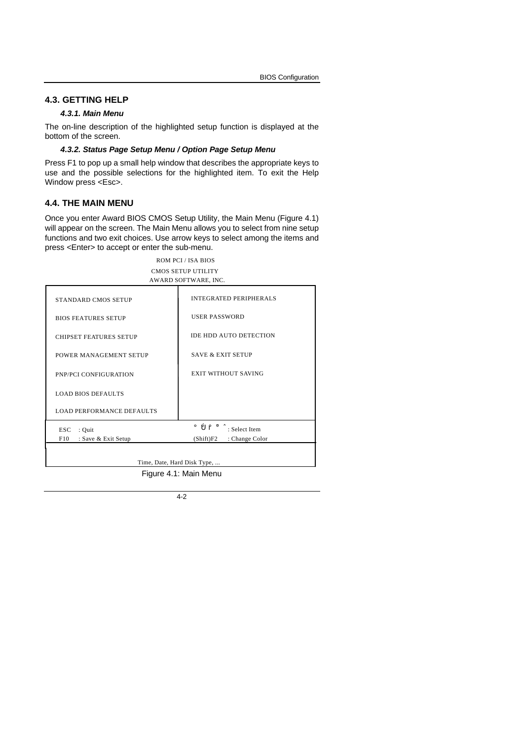#### **4.3. GETTING HELP**

#### *4.3.1. Main Menu*

The on-line description of the highlighted setup function is displayed at the bottom of the screen.

#### *4.3.2. Status Page Setup Menu / Option Page Setup Menu*

Press F1 to pop up a small help window that describes the appropriate keys to use and the possible selections for the highlighted item. To exit the Help Window press <Esc>.

#### **4.4. THE MAIN MENU**

Once you enter Award BIOS CMOS Setup Utility, the Main Menu (Figure 4.1) will appear on the screen. The Main Menu allows you to select from nine setup functions and two exit choices. Use arrow keys to select among the items and press <Enter> to accept or enter the sub-menu.

> ROM PCI / ISA BIOS CMOS SETUP UTILITY AWARD SOFTWARE, INC.

| STANDARD CMOS SETUP              | INTEGRATED PERIPHERALS                                                             |
|----------------------------------|------------------------------------------------------------------------------------|
| <b>BIOS FEATURES SETUP</b>       | <b>USER PASSWORD</b>                                                               |
| <b>CHIPSET FEATURES SETUP</b>    | <b>IDE HDD AUTO DETECTION</b>                                                      |
| POWER MANAGEMENT SETUP           | <b>SAVE &amp; EXIT SETUP</b>                                                       |
| PNP/PCI CONFIGURATION            | <b>EXIT WITHOUT SAVING</b>                                                         |
| <b>LOAD BIOS DEFAULTS</b>        |                                                                                    |
| <b>LOAD PERFORMANCE DEFAULTS</b> |                                                                                    |
| ESC.<br>$:$ Quit                 | $\hat{\rho}$ $\tilde{\rho}$ $\hat{\rho}$ $\hat{\sigma}$ $\hat{\sigma}$ Select Item |
| F10<br>: Save & Exit Setup       | $(Shift)F2$ : Change Color                                                         |
|                                  |                                                                                    |
|                                  | Time, Date, Hard Disk Type,                                                        |
|                                  |                                                                                    |

Figure 4.1: Main Menu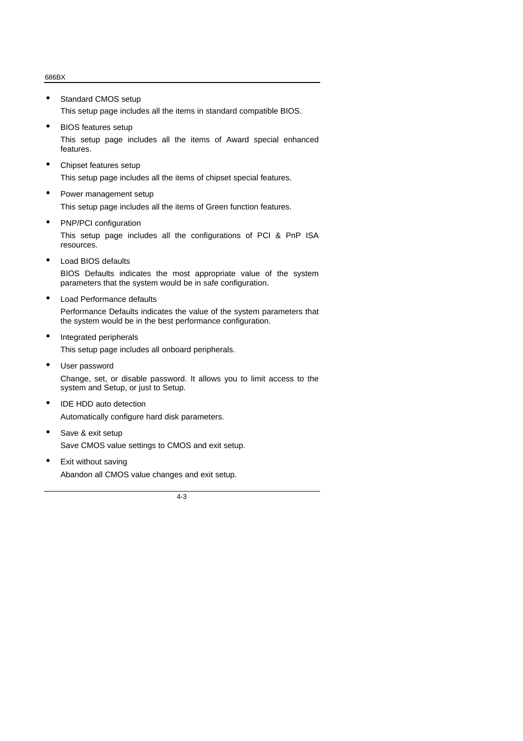- Standard CMOS setup This setup page includes all the items in standard compatible BIOS.
- BIOS features setup This setup page includes all the items of Award special enhanced features.
- Chipset features setup This setup page includes all the items of chipset special features.
- Power management setup This setup page includes all the items of Green function features.
- PNP/PCI configuration

This setup page includes all the configurations of PCI & PnP ISA resources.

- Load BIOS defaults BIOS Defaults indicates the most appropriate value of the system parameters that the system would be in safe configuration.
- Load Performance defaults

Performance Defaults indicates the value of the system parameters that the system would be in the best performance configuration.

- Integrated peripherals This setup page includes all onboard peripherals.
- User password Change, set, or disable password. It allows you to limit access to the system and Setup, or just to Setup.
- IDE HDD auto detection Automatically configure hard disk parameters.
- Save & exit setup Save CMOS value settings to CMOS and exit setup.
- Exit without saving Abandon all CMOS value changes and exit setup.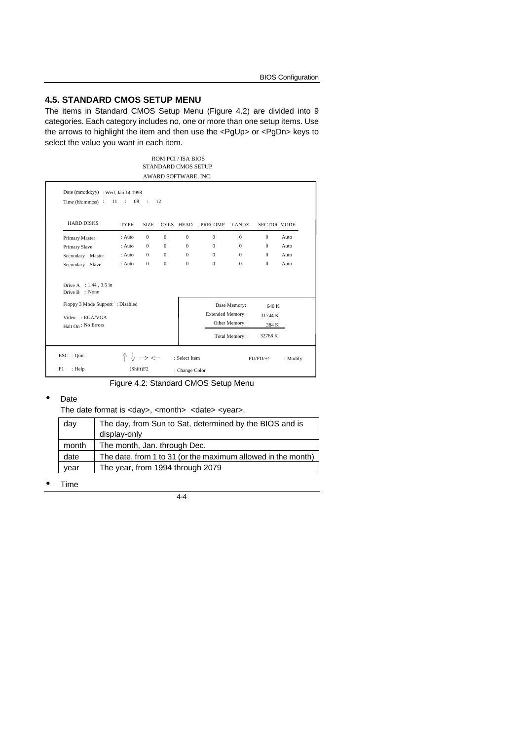#### **4.5. STANDARD CMOS SETUP MENU**

The items in Standard CMOS Setup Menu (Figure 4.2) are divided into 9 categories. Each category includes no, one or more than one setup items. Use the arrows to highlight the item and then use the <PgUp> or <PgDn> keys to select the value you want in each item.

#### ROM PCI / ISA BIOS STANDARD CMOS SETUP AWARD SOFTWARE, INC.

| <b>HARD DISKS</b>                           | <b>TYPE</b> | <b>SIZE</b>  |              | CYLS HEAD | <b>PRECOMP</b>          | LANDZ.               | <b>SECTOR MODE</b> |                  |
|---------------------------------------------|-------------|--------------|--------------|-----------|-------------------------|----------------------|--------------------|------------------|
| Primary Master                              | : Auto      | $\mathbf{0}$ | $\mathbf{0}$ | $\Omega$  | $\Omega$                | $\Omega$             | $\Omega$           | $_{\text{Auto}}$ |
| Primary Slave                               | : Auto      | $\mathbf{0}$ | $\Omega$     | $\Omega$  | $\Omega$                | $\Omega$             | $\Omega$           | Auto             |
| Secondary Master                            | : Auto      | $\mathbf{0}$ | $\Omega$     | $\Omega$  | $\Omega$                | $\Omega$             | $\Omega$           | $_{\text{Auto}}$ |
| Secondary Slave                             | $:$ Auto    | $\Omega$     | $\Omega$     | $\Omega$  | $\Omega$                | $\Omega$             | $\Omega$           | Auto             |
| Drive A : 1.44, 3.5 in<br>: None<br>Drive B |             |              |              |           |                         |                      |                    |                  |
| Floppy 3 Mode Support : Disabled            |             |              |              |           |                         | Base Memory:         | 640 K              |                  |
| $Video = EGA/VGA$                           |             |              |              |           | <b>Extended Memory:</b> |                      | 31744 K            |                  |
| Halt On: No Errors                          |             |              |              |           |                         | Other Memory:        | 384 K              |                  |
|                                             |             |              |              |           |                         | <b>Total Memory:</b> | 32768 K            |                  |

Figure 4.2: Standard CMOS Setup Menu

#### • Date

The date format is <day>, <month> <date> <year>.

| day   | The day, from Sun to Sat, determined by the BIOS and is<br>display-only |
|-------|-------------------------------------------------------------------------|
| month | The month, Jan. through Dec.                                            |
| date  | The date, from 1 to 31 (or the maximum allowed in the month)            |
| vear  | The year, from 1994 through 2079                                        |

• Time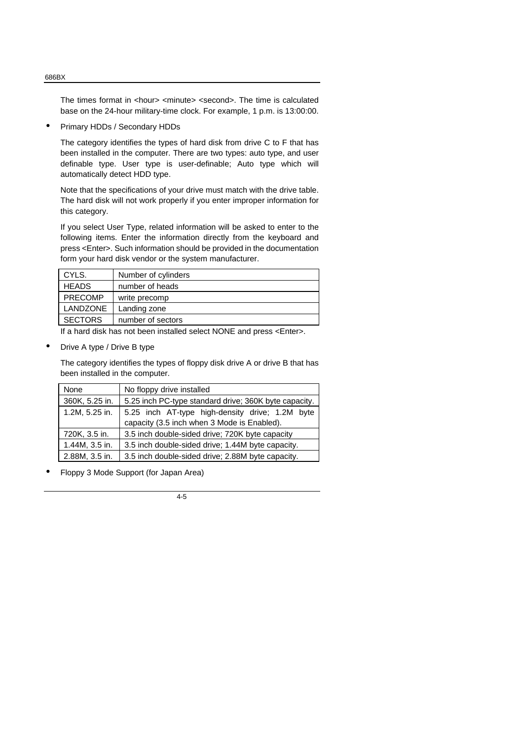The times format in <hour> <minute> <second>. The time is calculated base on the 24-hour military-time clock. For example, 1 p.m. is 13:00:00.

• Primary HDDs / Secondary HDDs

The category identifies the types of hard disk from drive C to F that has been installed in the computer. There are two types: auto type, and user definable type. User type is user-definable; Auto type which will automatically detect HDD type.

Note that the specifications of your drive must match with the drive table. The hard disk will not work properly if you enter improper information for this category.

If you select User Type, related information will be asked to enter to the following items. Enter the information directly from the keyboard and press <Enter>. Such information should be provided in the documentation form your hard disk vendor or the system manufacturer.

| CYLS.           | Number of cylinders |
|-----------------|---------------------|
| <b>HEADS</b>    | number of heads     |
| <b>PRECOMP</b>  | write precomp       |
| <b>LANDZONE</b> | Landing zone        |
| <b>SECTORS</b>  | number of sectors   |

If a hard disk has not been installed select NONE and press <Enter>.

• Drive A type / Drive B type

The category identifies the types of floppy disk drive A or drive B that has been installed in the computer.

| <b>None</b>    | No floppy drive installed                             |
|----------------|-------------------------------------------------------|
| 360K, 5.25 in. | 5.25 inch PC-type standard drive; 360K byte capacity. |
| 1.2M, 5.25 in. | 5.25 inch AT-type high-density drive; 1.2M byte       |
|                | capacity (3.5 inch when 3 Mode is Enabled).           |
| 720K, 3.5 in.  | 3.5 inch double-sided drive; 720K byte capacity       |
| 1.44M, 3.5 in. | 3.5 inch double-sided drive; 1.44M byte capacity.     |
| 2.88M, 3.5 in. | 3.5 inch double-sided drive; 2.88M byte capacity.     |

• Floppy 3 Mode Support (for Japan Area)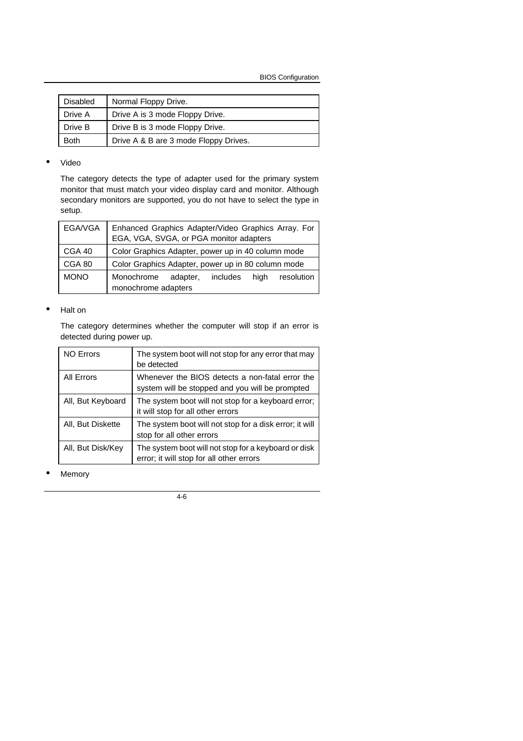BIOS Configuration

| <b>Disabled</b> | Normal Floppy Drive.                  |
|-----------------|---------------------------------------|
| Drive A         | Drive A is 3 mode Floppy Drive.       |
| Drive B         | Drive B is 3 mode Floppy Drive.       |
| <b>Both</b>     | Drive A & B are 3 mode Floppy Drives. |

#### • Video

The category detects the type of adapter used for the primary system monitor that must match your video display card and monitor. Although secondary monitors are supported, you do not have to select the type in setup.

| EGA/VGA     | Enhanced Graphics Adapter/Video Graphics Array. For<br>EGA, VGA, SVGA, or PGA monitor adapters |  |  |
|-------------|------------------------------------------------------------------------------------------------|--|--|
| CGA 40      | Color Graphics Adapter, power up in 40 column mode                                             |  |  |
| CGA 80      | Color Graphics Adapter, power up in 80 column mode                                             |  |  |
| <b>MONO</b> | Monochrome<br>hiah<br>resolution<br>adapter, includes<br>monochrome adapters                   |  |  |

#### • Halt on

The category determines whether the computer will stop if an error is detected during power up.

| <b>NO Errors</b>  | The system boot will not stop for any error that may<br>be detected                                |
|-------------------|----------------------------------------------------------------------------------------------------|
| All Errors        | Whenever the BIOS detects a non-fatal error the<br>system will be stopped and you will be prompted |
| All, But Keyboard | The system boot will not stop for a keyboard error;<br>it will stop for all other errors           |
| All, But Diskette | The system boot will not stop for a disk error; it will<br>stop for all other errors               |
| All, But Disk/Key | The system boot will not stop for a keyboard or disk<br>error; it will stop for all other errors   |

**Memory**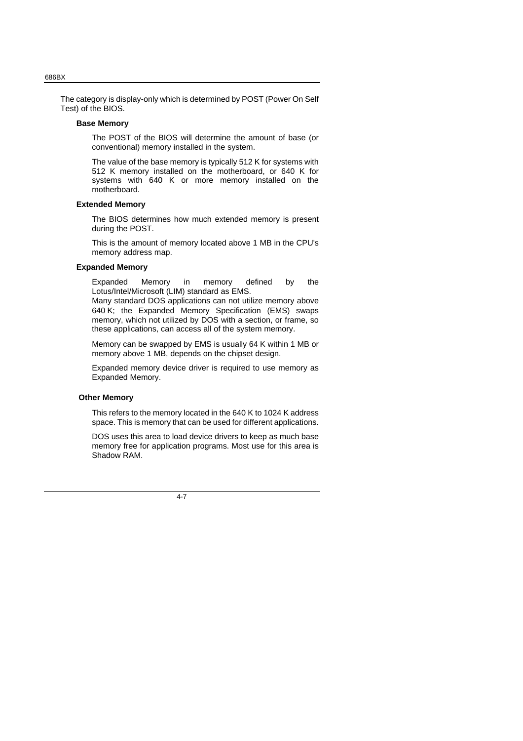The category is display-only which is determined by POST (Power On Self Test) of the BIOS.

#### **Base Memory**

The POST of the BIOS will determine the amount of base (or conventional) memory installed in the system.

The value of the base memory is typically 512 K for systems with 512 K memory installed on the motherboard, or 640 K for systems with 640 K or more memory installed on the motherboard.

#### **Extended Memory**

The BIOS determines how much extended memory is present during the POST.

This is the amount of memory located above 1 MB in the CPU's memory address map.

#### **Expanded Memory**

Expanded Memory in memory defined by the Lotus/Intel/Microsoft (LIM) standard as EMS.

Many standard DOS applications can not utilize memory above 640 K; the Expanded Memory Specification (EMS) swaps memory, which not utilized by DOS with a section, or frame, so these applications, can access all of the system memory.

Memory can be swapped by EMS is usually 64 K within 1 MB or memory above 1 MB, depends on the chipset design.

Expanded memory device driver is required to use memory as Expanded Memory.

#### **Other Memory**

This refers to the memory located in the 640 K to 1024 K address space. This is memory that can be used for different applications.

DOS uses this area to load device drivers to keep as much base memory free for application programs. Most use for this area is Shadow RAM.

4-7

#### 686BX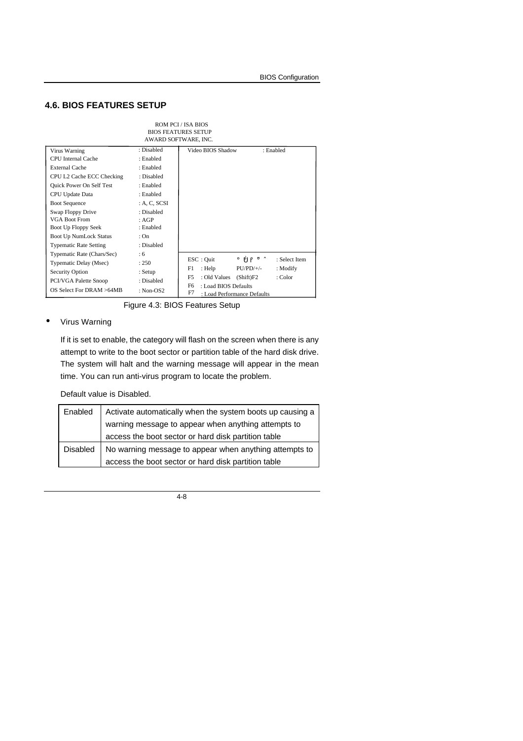## **4.6. BIOS FEATURES SETUP**

|                                                                                                                                                                                                                                                                              |                                                                                                                                                        | <b>ROM PCI / ISA BIOS</b><br><b>BIOS FEATURES SETUP</b><br>AWARD SOFTWARE, INC.                          |                                                                   |                                      |
|------------------------------------------------------------------------------------------------------------------------------------------------------------------------------------------------------------------------------------------------------------------------------|--------------------------------------------------------------------------------------------------------------------------------------------------------|----------------------------------------------------------------------------------------------------------|-------------------------------------------------------------------|--------------------------------------|
| Virus Warning<br><b>CPU</b> Internal Cache<br><b>External Cache</b><br>CPU L2 Cache ECC Checking<br><b>Quick Power On Self Test</b><br>CPU Update Data<br><b>Boot Sequence</b><br>Swap Floppy Drive<br>VGA Boot From<br>Boot Up Floppy Seek<br><b>Boot Up NumLock Status</b> | : Disabled<br>: Enabled<br>: Enabled<br>: Disabled<br>: Enabled<br>: Enabled<br>: A, C, SCSI<br>: Disabled<br>: AGP<br>: Enabled<br>: On<br>: Disabled | Video BIOS Shadow                                                                                        |                                                                   | : Enabled                            |
| <b>Typematic Rate Setting</b>                                                                                                                                                                                                                                                |                                                                                                                                                        |                                                                                                          |                                                                   |                                      |
| Typematic Rate (Chars/Sec)<br>Typematic Delay (Msec)<br>Security Option<br>PCI/VGA Palette Snoop<br>OS Select For DRAM >64MB                                                                                                                                                 | :6<br>: 250<br>: Setup<br>: Disabled<br>: Non- $OS2$                                                                                                   | $\text{ESC}:$ Quit<br>F1<br>: Help<br>F5<br>: Old Values<br>F <sub>6</sub><br>: Load BIOS Defaults<br>F7 | i ÔÕ⊬Ö<br>$PU/PD/+/-$<br>(Shift)F2<br>: Load Performance Defaults | : Select Item<br>: Modify<br>: Color |

Figure 4.3: BIOS Features Setup

#### • Virus Warning

If it is set to enable, the category will flash on the screen when there is any attempt to write to the boot sector or partition table of the hard disk drive. The system will halt and the warning message will appear in the mean time. You can run anti-virus program to locate the problem.

Default value is Disabled.

| Enabled  | Activate automatically when the system boots up causing a |
|----------|-----------------------------------------------------------|
|          | warning message to appear when anything attempts to       |
|          | access the boot sector or hard disk partition table       |
| Disabled | No warning message to appear when anything attempts to    |
|          | access the boot sector or hard disk partition table       |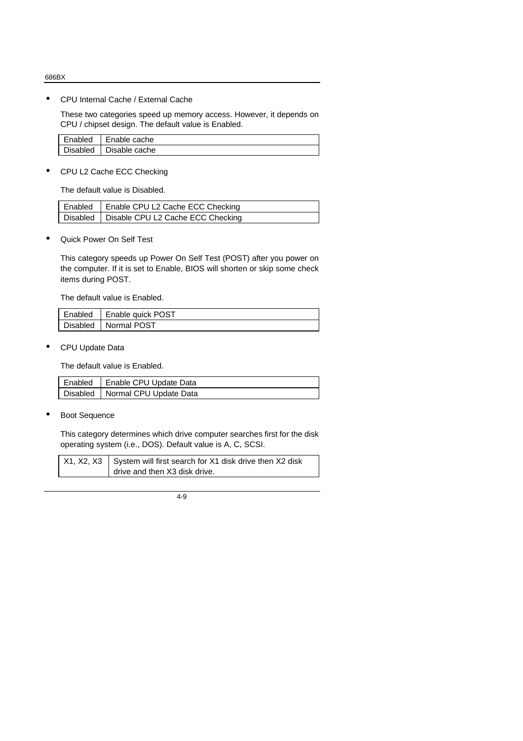• CPU Internal Cache / External Cache

These two categories speed up memory access. However, it depends on CPU / chipset design. The default value is Enabled.

| Enabled  | Enable cache  |
|----------|---------------|
| Disabled | Disable cache |

• CPU L2 Cache ECC Checking

The default value is Disabled.

| Enabled   Enable CPU L2 Cache ECC Checking   |
|----------------------------------------------|
| Disabled   Disable CPU L2 Cache ECC Checking |

• Quick Power On Self Test

This category speeds up Power On Self Test (POST) after you power on the computer. If it is set to Enable, BIOS will shorten or skip some check items during POST.

The default value is Enabled.

| Enabled   Enable quick POST |
|-----------------------------|
| Disabled   Normal POST      |

• CPU Update Data

The default value is Enabled.

| Enabled   Enable CPU Update Data  |
|-----------------------------------|
| Disabled   Normal CPU Update Data |

Boot Sequence

This category determines which drive computer searches first for the disk operating system (i.e., DOS). Default value is A, C, SCSI.

| $X1, X2, X3$ System will first search for X1 disk drive then X2 disk |
|----------------------------------------------------------------------|
| drive and then X3 disk drive.                                        |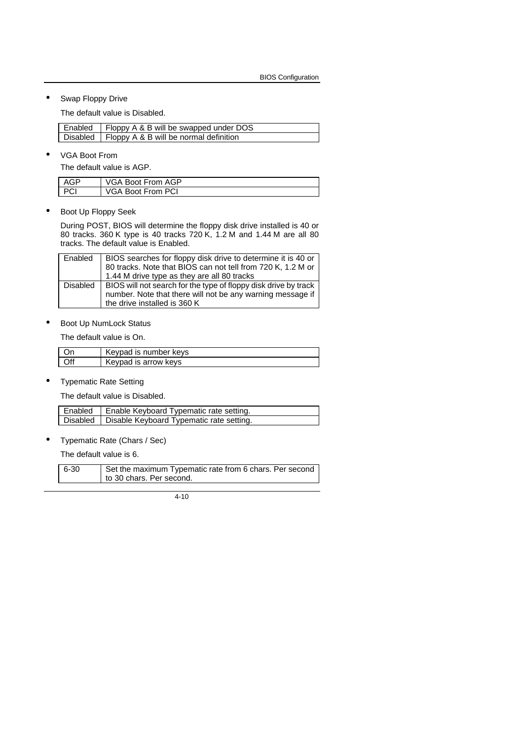Swap Floppy Drive

The default value is Disabled.

| Enabled   Floppy A & B will be swapped under DOS  |
|---------------------------------------------------|
| Disabled   Floppy A & B will be normal definition |

• VGA Boot From

 $\mathsf{I}$ 

The default value is AGP.

| $\triangle G$ P | VGA Boot From AGP |
|-----------------|-------------------|
| DOI             | VGA Boot From PCI |

• Boot Up Floppy Seek

During POST, BIOS will determine the floppy disk drive installed is 40 or 80 tracks. 360 K type is 40 tracks 720 K, 1.2 M and 1.44 M are all 80 tracks. The default value is Enabled.

| Enabled  | BIOS searches for floppy disk drive to determine it is 40 or                                                                  |
|----------|-------------------------------------------------------------------------------------------------------------------------------|
|          | 80 tracks. Note that BIOS can not tell from 720 K, 1.2 M or                                                                   |
|          | 1.44 M drive type as they are all 80 tracks                                                                                   |
|          |                                                                                                                               |
| Disabled | BIOS will not search for the type of floppy disk drive by track<br>number. Note that there will not be any warning message if |

• Boot Up NumLock Status

The default value is On.

| Keypad is number keys |
|-----------------------|
| Keypad is arrow keys  |

• Typematic Rate Setting

The default value is Disabled.

| Enabled   Enable Keyboard Typematic rate setting.   |
|-----------------------------------------------------|
| Disabled   Disable Keyboard Typematic rate setting. |

• Typematic Rate (Chars / Sec)

The default value is 6.

| 6-30 | Set the maximum Typematic rate from 6 chars. Per second<br>to 30 chars. Per second. |
|------|-------------------------------------------------------------------------------------|
|      |                                                                                     |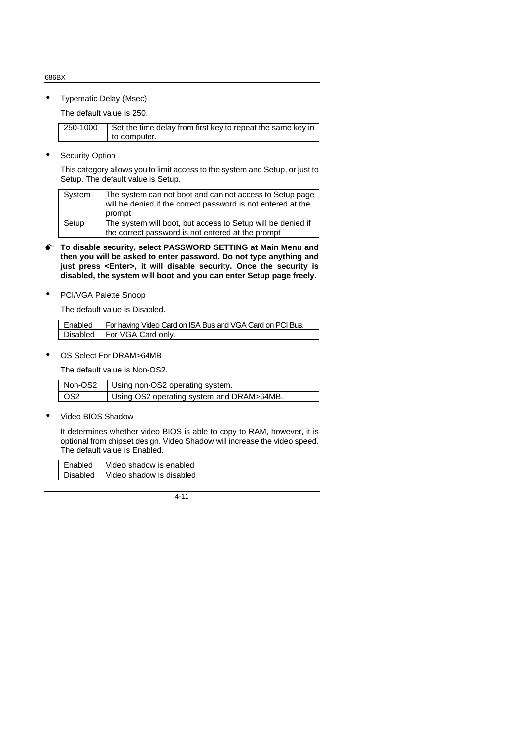• Typematic Delay (Msec)

The default value is 250.

| 250-1000 | Set the time delay from first key to repeat the same key in |
|----------|-------------------------------------------------------------|
|          | to computer.                                                |

• Security Option

This category allows you to limit access to the system and Setup, or just to Setup. The default value is Setup.

| System | The system can not boot and can not access to Setup page<br>will be denied if the correct password is not entered at the<br>prompt |
|--------|------------------------------------------------------------------------------------------------------------------------------------|
| Setup  | The system will boot, but access to Setup will be denied if                                                                        |
|        | the correct password is not entered at the prompt                                                                                  |

- $\bullet^*$  To disable security, select PASSWORD SETTING at Main Menu and **then you will be asked to enter password. Do not type anything and just press <Enter>, it will disable security. Once the security is disabled, the system will boot and you can enter Setup page freely.**
- PCI/VGA Palette Snoop

The default value is Disabled.

| Enabled   For having Video Card on ISA Bus and VGA Card on PCI Bus. |
|---------------------------------------------------------------------|
| Disabled   For VGA Card only.                                       |

OS Select For DRAM>64MB

The default value is Non-OS2.

| Non-OS2         | Using non-OS2 operating system.           |
|-----------------|-------------------------------------------|
| OS <sub>2</sub> | Using OS2 operating system and DRAM>64MB. |

Video BIOS Shadow

It determines whether video BIOS is able to copy to RAM, however, it is optional from chipset design. Video Shadow will increase the video speed. The default value is Enabled.

| Enabled | Video shadow is enabled           |
|---------|-----------------------------------|
|         | Disabled Video shadow is disabled |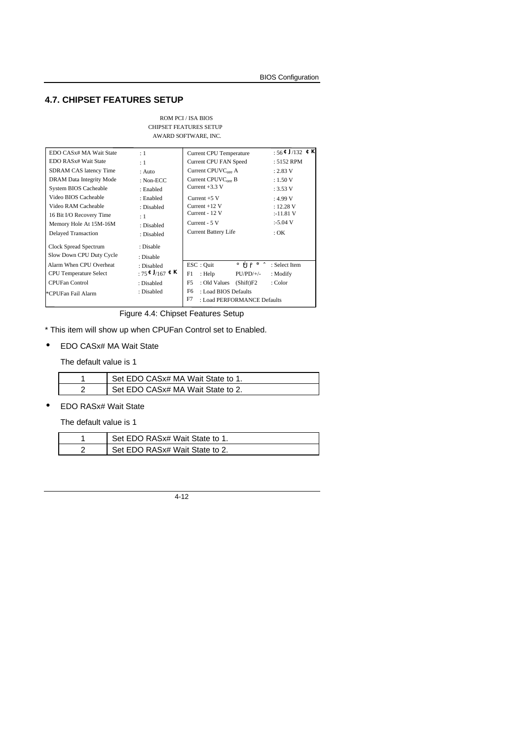#### **4.7. CHIPSET FEATURES SETUP**

| ROM PCI / ISA BIOS            |
|-------------------------------|
| <b>CHIPSET FEATURES SETUP</b> |
| AWARD SOFTWARE, INC.          |

| EDO CASx# MA Wait State           | :1                     | <b>Current CPU Temperature</b>                                               | : $56 \text{ } \text{CJ}$ /132 $\text{C}$ $\overline{\text{K}}$ |
|-----------------------------------|------------------------|------------------------------------------------------------------------------|-----------------------------------------------------------------|
| EDO RAS <sub>x</sub> # Wait State | :1                     | <b>Current CPU FAN Speed</b>                                                 | : 5152 RPM                                                      |
| SDRAM CAS latency Time            | : Auto                 | Current CPUVC <sub>ore</sub> A                                               | : 2.83 V                                                        |
| DRAM Data Integrity Mode          | : Non-ECC              | Current $CPUVCore$ B                                                         | : 1.50 V                                                        |
| System BIOS Cacheable             | : Enabled              | Current $+3.3$ V                                                             | : 3.53 V                                                        |
| Video BIOS Cacheable              | : Enabled              | Current $+5$ V                                                               | : 4.99 V                                                        |
| Video RAM Cacheable               | : Disabled             | Current $+12$ V                                                              | : 12.28 V                                                       |
| 16 Bit I/O Recovery Time          | : 1                    | Current - 12 V                                                               | :-11.81 V                                                       |
| Memory Hole At 15M-16M            | : Disabled             | Current - 5 V                                                                | $:5.04$ V                                                       |
| <b>Delayed Transaction</b>        | : Disabled             | <b>Current Battery Life</b>                                                  | $:$ OK                                                          |
| Clock Spread Spectrum             | : Disable              |                                                                              |                                                                 |
| Slow Down CPU Duty Cycle          | : Disable              |                                                                              |                                                                 |
| Alarm When CPU Overheat           | : Disabled             | ESC: Ouit<br>$\hat{\rho} \hat{\rho} \hat{\rho} + \hat{\sigma}$ : Select Item |                                                                 |
| <b>CPU</b> Temperature Select     | : $75$ $EJ$ /167 $E$ K | $PU/PD/+/-$<br>F1<br>: Help                                                  | : Modify                                                        |
| <b>CPUFan Control</b>             | : Disabled             | F5<br>: Old Values<br>(Shift)F2                                              | : Color                                                         |
| *CPUFan Fail Alarm                | : Disabled             | F6<br>: Load BIOS Defaults<br>F7<br>: Load PERFORMANCE Defaults              |                                                                 |

Figure 4.4: Chipset Features Setup

\* This item will show up when CPUFan Control set to Enabled.

• EDO CASx# MA Wait State

The default value is 1

| Set EDO CASx# MA Wait State to 1. |
|-----------------------------------|
| Set EDO CASx# MA Wait State to 2. |

• EDO RASx# Wait State

The default value is 1

| Set EDO RASx# Wait State to 1.  |
|---------------------------------|
| Set EDO RAS x# Wait State to 2. |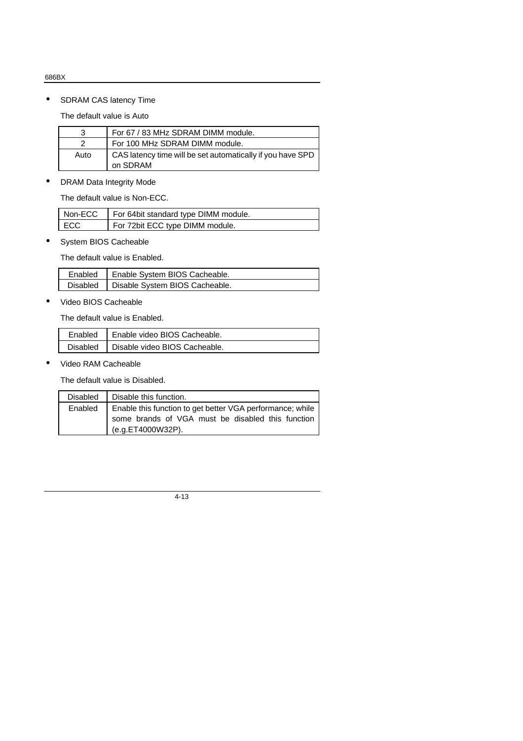• SDRAM CAS latency Time

The default value is Auto

| 3    | For 67 / 83 MHz SDRAM DIMM module.                                     |
|------|------------------------------------------------------------------------|
|      | For 100 MHz SDRAM DIMM module.                                         |
| Auto | CAS latency time will be set automatically if you have SPD<br>on SDRAM |

• DRAM Data Integrity Mode

The default value is Non-ECC.

| Non-ECC | For 64bit standard type DIMM module. |
|---------|--------------------------------------|
| $ $ ECC | For 72bit ECC type DIMM module.      |

• System BIOS Cacheable

The default value is Enabled.

| Enabled   Enable System BIOS Cacheable.   |
|-------------------------------------------|
| Disabled   Disable System BIOS Cacheable. |

• Video BIOS Cacheable

The default value is Enabled.

| Enabled   Enable video BIOS Cacheable.   |
|------------------------------------------|
| Disabled   Disable video BIOS Cacheable. |

• Video RAM Cacheable

The default value is Disabled.

| Disable this function.<br>Disabled                                                                                                             |  |
|------------------------------------------------------------------------------------------------------------------------------------------------|--|
| Enable this function to get better VGA performance; while<br>Enabled<br>some brands of VGA must be disabled this function<br>(e.g.ET4000W32P). |  |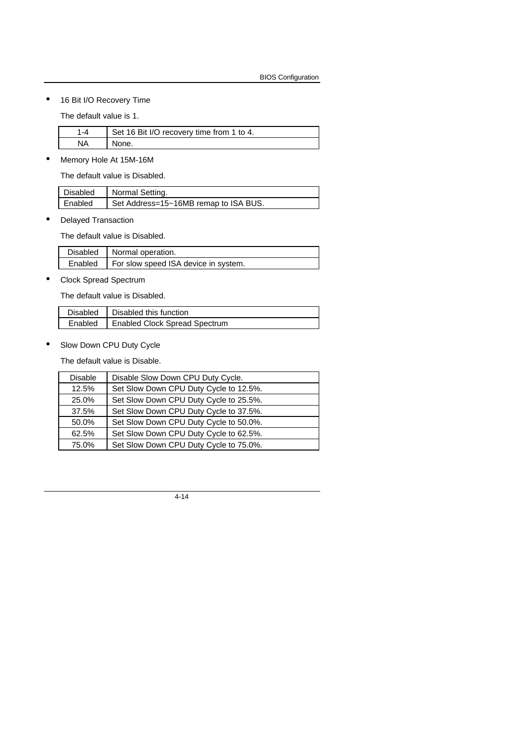• 16 Bit I/O Recovery Time

The default value is 1.

|    | Set 16 Bit I/O recovery time from 1 to 4. |
|----|-------------------------------------------|
| NΑ | None.                                     |

• Memory Hole At 15M-16M

The default value is Disabled.

| Disabled | Normal Setting.                       |
|----------|---------------------------------------|
| Enabled  | Set Address=15~16MB remap to ISA BUS. |

• Delayed Transaction

The default value is Disabled.

| Disabled   Normal operation.                   |
|------------------------------------------------|
| Enabled   For slow speed ISA device in system. |

• Clock Spread Spectrum

The default value is Disabled.

| Disabled   Disabled this function       |
|-----------------------------------------|
| Enabled   Enabled Clock Spread Spectrum |

• Slow Down CPU Duty Cycle

The default value is Disable.

| <b>Disable</b> | Disable Slow Down CPU Duty Cycle.      |
|----------------|----------------------------------------|
| 12.5%          | Set Slow Down CPU Duty Cycle to 12.5%. |
| 25.0%          | Set Slow Down CPU Duty Cycle to 25.5%. |
| 37.5%          | Set Slow Down CPU Duty Cycle to 37.5%. |
| 50.0%          | Set Slow Down CPU Duty Cycle to 50.0%. |
| 62.5%          | Set Slow Down CPU Duty Cycle to 62.5%. |
| 75.0%          | Set Slow Down CPU Duty Cycle to 75.0%. |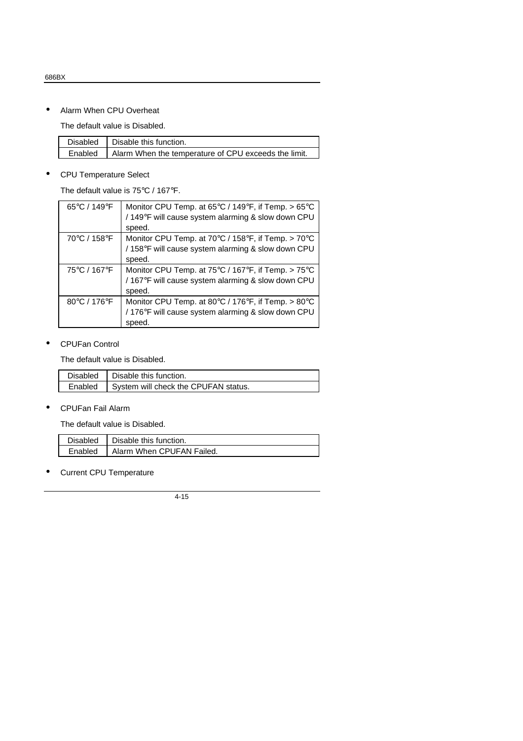• Alarm When CPU Overheat

The default value is Disabled.

| Disabled   Disable this function.                              |
|----------------------------------------------------------------|
| Enabled   Alarm When the temperature of CPU exceeds the limit. |

#### • CPU Temperature Select

The default value is 75°C / 167°F.

| 65°C / 149°F | Monitor CPU Temp. at 65°C / 149°F, if Temp. > 65°C<br>/149°F will cause system alarming & slow down CPU |
|--------------|---------------------------------------------------------------------------------------------------------|
|              | speed.                                                                                                  |
| 70°C / 158°F | Monitor CPU Temp. at $70^{\circ}$ C / 158 $^{\circ}$ F, if Temp. > $70^{\circ}$ C                       |
|              | /158°F will cause system alarming & slow down CPU                                                       |
|              | speed.                                                                                                  |
| 75°C / 167°F | Monitor CPU Temp. at 75°C / 167°F, if Temp. > 75°C                                                      |
|              | /167°F will cause system alarming & slow down CPU                                                       |
|              | speed.                                                                                                  |
| 80°C / 176°F | Monitor CPU Temp. at 80 $\degree$ C / 176 $\degree$ F, if Temp. > 80 $\degree$ C                        |
|              | /176°F will cause system alarming & slow down CPU                                                       |
|              | speed.                                                                                                  |

#### • CPUFan Control

The default value is Disabled.

| Disabled   Disable this function.              |
|------------------------------------------------|
| Enabled   System will check the CPUFAN status. |

#### • CPUFan Fail Alarm

The default value is Disabled.

| Disabled   Disable this function.   |
|-------------------------------------|
| Enabled   Alarm When CPUFAN Failed. |

## • Current CPU Temperature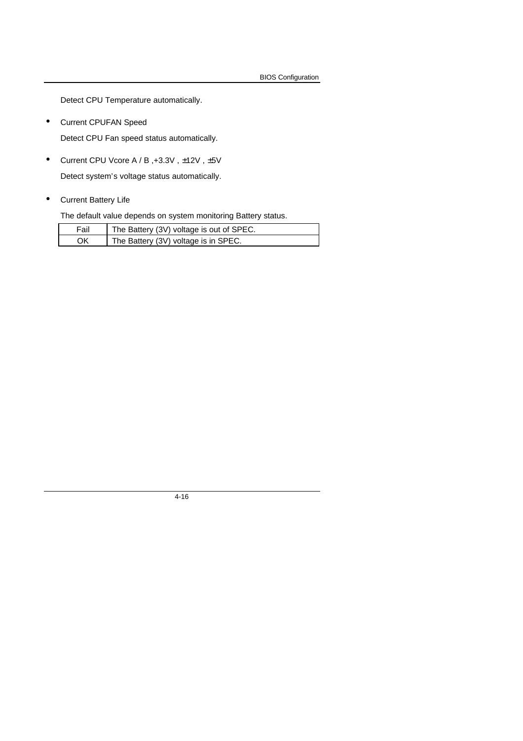BIOS Configuration

Detect CPU Temperature automatically.

• Current CPUFAN Speed

Detect CPU Fan speed status automatically.

• Current CPU Vcore A / B ,+3.3V , ±12V , ±5V

Detect system's voltage status automatically.

• Current Battery Life

The default value depends on system monitoring Battery status.

| Fail | The Battery (3V) voltage is out of SPEC. |
|------|------------------------------------------|
| ΟK   | The Battery (3V) voltage is in SPEC.     |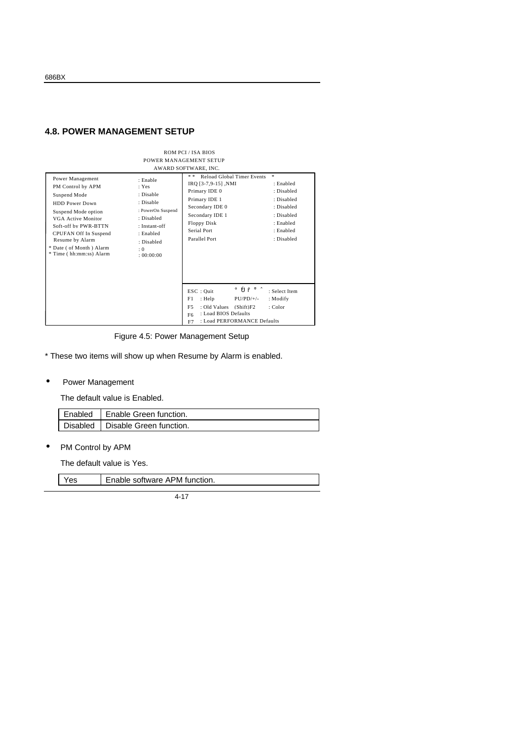## **4.8. POWER MANAGEMENT SETUP**

|                                                                                                                                                                                                                                                                |                                                                                                                                                   | ROM PCI / ISA BIOS                                                                                                                                                                     |                                                                                                                |
|----------------------------------------------------------------------------------------------------------------------------------------------------------------------------------------------------------------------------------------------------------------|---------------------------------------------------------------------------------------------------------------------------------------------------|----------------------------------------------------------------------------------------------------------------------------------------------------------------------------------------|----------------------------------------------------------------------------------------------------------------|
|                                                                                                                                                                                                                                                                |                                                                                                                                                   | POWER MANAGEMENT SETUP                                                                                                                                                                 |                                                                                                                |
|                                                                                                                                                                                                                                                                |                                                                                                                                                   | AWARD SOFTWARE, INC.                                                                                                                                                                   |                                                                                                                |
| Power Management<br>PM Control by APM<br>Suspend Mode<br><b>HDD</b> Power Down<br>Suspend Mode option<br><b>VGA Active Monitor</b><br>Soft-off by PWR-BTTN<br>CPUFAN Off In Suspend<br>Resume by Alarm<br>* Date ( of Month ) Alarm<br>* Time (hh:mm:ss) Alarm | : Enable<br>: Yes<br>: Disable<br>: Disable<br>: PowerOn Suspend<br>: Disabled<br>$: Instant-off$<br>: Enabled<br>: Disabled<br>: 0<br>: 00:00:00 | * *<br>Reload Global Timer Events<br>IRQ [3-7,9-15], NMI<br>Primary IDE 0<br>Primary IDE 1<br>Secondary IDE 0<br>Secondary IDE 1<br><b>Floppy Disk</b><br>Serial Port<br>Parallel Port | *<br>: Enabled<br>: Disabled<br>: Disabled<br>: Disabled<br>: Disabled<br>: Enabled<br>: Enabled<br>: Disabled |
|                                                                                                                                                                                                                                                                |                                                                                                                                                   | $\text{ESC}:$ Ouit<br>$PU/PD/+/-$<br>F1<br>: Help<br>F <sub>5</sub><br>: Old Values<br>(Shift)F2<br>: Load BIOS Defaults<br>F <sub>6</sub><br>: Load PERFORMANCE Defaults<br>F7        | $\hat{p} \hat{p} \hat{p} + \hat{q}$ : Select Item<br>: Modify<br>$:$ Color                                     |

Figure 4.5: Power Management Setup

\* These two items will show up when Resume by Alarm is enabled.

#### • Power Management

The default value is Enabled.

| L Enabled L Enable Green function. |
|------------------------------------|
| Disabled   Disable Green function. |

• PM Control by APM

The default value is Yes.

| ≚es | Enable software APM function. |
|-----|-------------------------------|
|     |                               |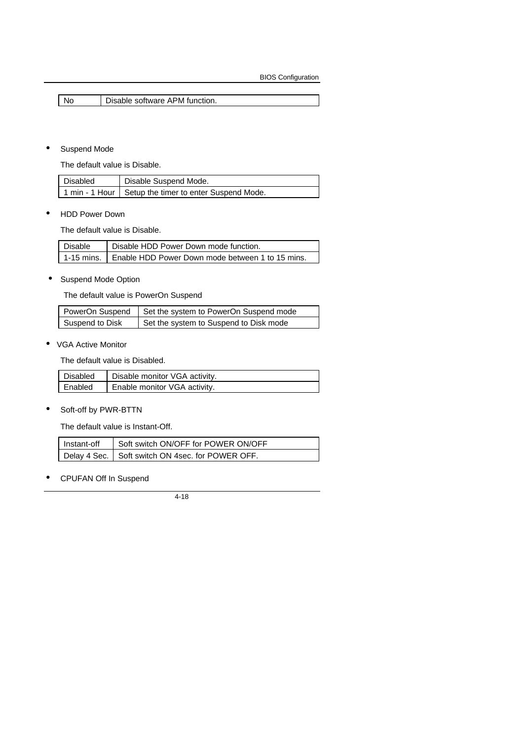No **Disable software APM function.** 

#### • Suspend Mode

The default value is Disable.

| Disabled | Disable Suspend Mode.                                    |
|----------|----------------------------------------------------------|
|          | 1 nmin - 1 Hour   Setup the timer to enter Suspend Mode. |

• HDD Power Down

The default value is Disable.

| Disable | <b>Disable HDD Power Down mode function.</b>                  |
|---------|---------------------------------------------------------------|
|         | 1-15 mins.   Enable HDD Power Down mode between 1 to 15 mins. |

• Suspend Mode Option

The default value is PowerOn Suspend

|                 | PowerOn Suspend   Set the system to PowerOn Suspend mode |
|-----------------|----------------------------------------------------------|
| Suspend to Disk | Set the system to Suspend to Disk mode                   |

• VGA Active Monitor

The default value is Disabled.

| Disabled | Disable monitor VGA activity. |
|----------|-------------------------------|
| Enabled  | Enable monitor VGA activity.  |

• Soft-off by PWR-BTTN

The default value is Instant-Off.

| Instant-off   Soft switch ON/OFF for POWER ON/OFF |
|---------------------------------------------------|
| Delay 4 Sec. Soft switch ON 4sec. for POWER OFF.  |

• CPUFAN Off In Suspend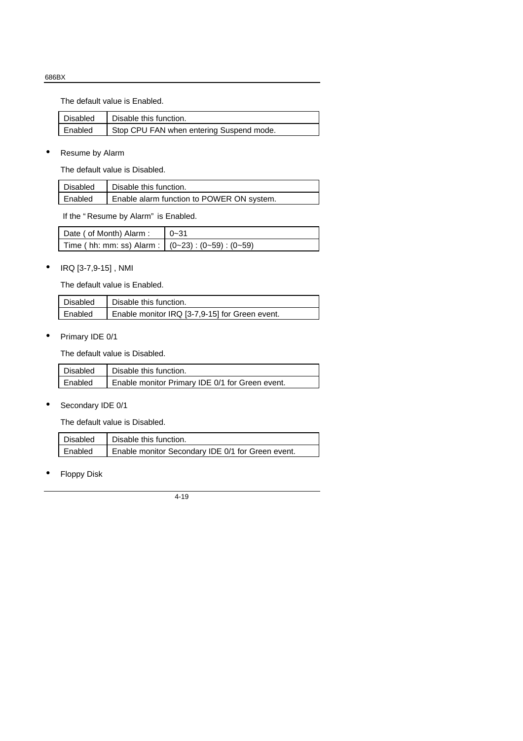The default value is Enabled.

| Disabled | Disable this function.                   |
|----------|------------------------------------------|
| Enabled  | Stop CPU FAN when entering Suspend mode. |

• Resume by Alarm

The default value is Disabled.

| Disabled | Disable this function.                    |
|----------|-------------------------------------------|
| Enabled  | Enable alarm function to POWER ON system. |

If the " Resume by Alarm" is Enabled.

| Date ( of Month) Alarm :                                  | $0 - 31$ |
|-----------------------------------------------------------|----------|
| Time ( hh: mm: ss) Alarm : $(0-23)$ : $(0-59)$ : $(0-59)$ |          |

## • IRQ [3-7,9-15] , NMI

The default value is Enabled.

| <b>Disabled</b> | Disable this function.                         |
|-----------------|------------------------------------------------|
| Enabled         | Enable monitor IRQ [3-7,9-15] for Green event. |

• Primary IDE 0/1

The default value is Disabled.

|         | Disabled   Disable this function.               |
|---------|-------------------------------------------------|
| Enabled | Enable monitor Primary IDE 0/1 for Green event. |

• Secondary IDE 0/1

The default value is Disabled.

|         | Disabled   Disable this function.                 |
|---------|---------------------------------------------------|
| Enabled | Enable monitor Secondary IDE 0/1 for Green event. |

**Floppy Disk**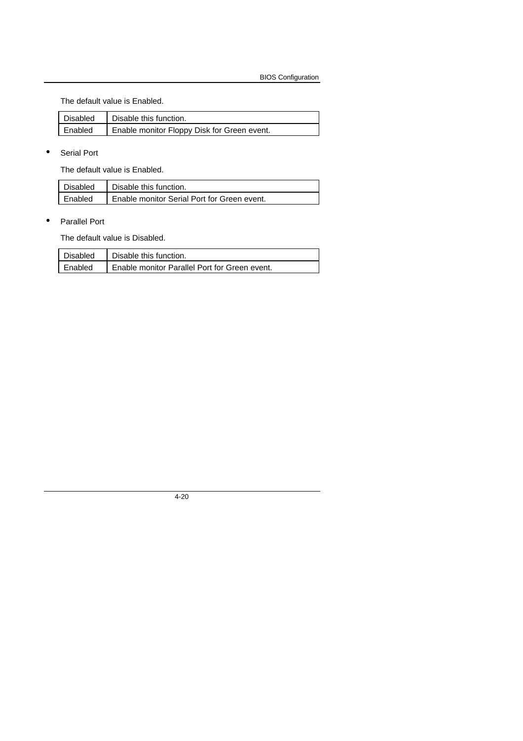The default value is Enabled.

| Disabled | Disable this function.                      |
|----------|---------------------------------------------|
| Enabled  | Enable monitor Floppy Disk for Green event. |

• Serial Port

The default value is Enabled.

| Disabled | Disable this function.                      |
|----------|---------------------------------------------|
| Enabled  | Enable monitor Serial Port for Green event. |

• Parallel Port

The default value is Disabled.

| Disabled  | Disable this function.                        |
|-----------|-----------------------------------------------|
| l Enabled | Enable monitor Parallel Port for Green event. |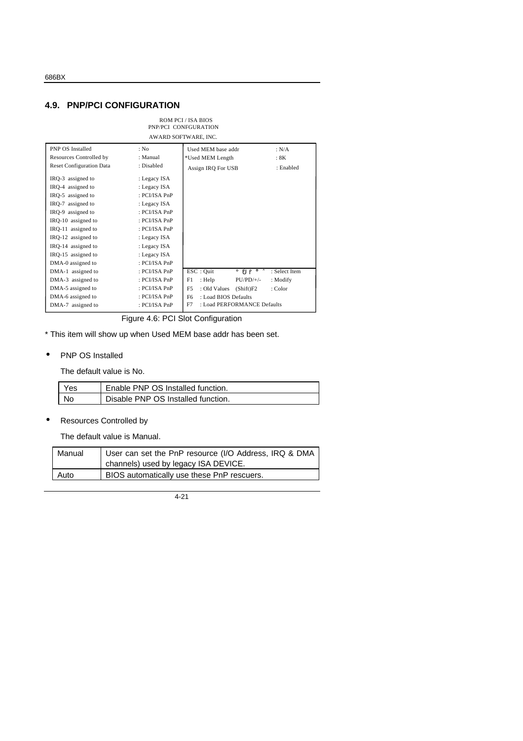#### **4.9. PNP/PCI CONFIGURATION**

| ROM PCL/ISA BIOS<br>PNP/PCI CONFGURATION<br>AWARD SOFTWARE, INC.                                                                                                                                                                                                                                             |                                                                                                                                                                                                    |                                                                                                                                                                                 |                                                                                                                 |
|--------------------------------------------------------------------------------------------------------------------------------------------------------------------------------------------------------------------------------------------------------------------------------------------------------------|----------------------------------------------------------------------------------------------------------------------------------------------------------------------------------------------------|---------------------------------------------------------------------------------------------------------------------------------------------------------------------------------|-----------------------------------------------------------------------------------------------------------------|
| <b>PNP OS Installed</b><br>Resources Controlled by<br><b>Reset Configuration Data</b><br>IRQ-3 assigned to<br>IRQ-4 assigned to<br>IRQ-5 assigned to<br>IRQ-7 assigned to<br>IRQ-9 assigned to<br>IRQ-10 assigned to<br>IRQ-11 assigned to<br>IRQ-12 assigned to<br>IRQ-14 assigned to<br>IRQ-15 assigned to | : No<br>: Manual<br>: Disabled<br>: Legacy ISA<br>: Legacy ISA<br>: PCI/ISA PnP<br>: Legacy ISA<br>: PCI/ISA PnP<br>: PCI/ISA PnP<br>: PCI/ISA PnP<br>: Legacy ISA<br>: Legacy ISA<br>: Legacy ISA | Used MEM base addr<br>*Used MEM Length<br>Assign IRQ For USB                                                                                                                    | : N/A<br>: 8K<br>: Enabled                                                                                      |
| DMA-0 assigned to<br>DMA-1 assigned to<br>DMA-3 assigned to<br>DMA-5 assigned to<br>DMA-6 assigned to<br>DMA-7 assigned to                                                                                                                                                                                   | : PCI/ISA PnP<br>: PCI/ISA PnP<br>: PCI/ISA PnP<br>: PCI/ISA PnP<br>: PCI/ISA PnP<br>: PCI/ISA PnP                                                                                                 | $\text{ESC}:$ Quit<br>F1<br>: Help<br>$PU/PD/+/-$<br>F <sub>5</sub><br>: Old Values<br>(Shift)F2<br>F <sub>6</sub><br>: Load BIOS Defaults<br>F7<br>: Load PERFORMANCE Defaults | $\hat{\rho} \tilde{\rho} \tilde{\rho} + \tilde{\sigma} \cdot \tilde{\sigma}$ Select Item<br>: Modify<br>: Color |

Figure 4.6: PCI Slot Configuration

\* This item will show up when Used MEM base addr has been set.

• PNP OS Installed

The default value is No.

| <b>Yes</b> | Enable PNP OS Installed function.  |
|------------|------------------------------------|
| No         | Disable PNP OS Installed function. |

• Resources Controlled by

The default value is Manual.

| Manual | User can set the PnP resource (I/O Address, IRQ & DMA |
|--------|-------------------------------------------------------|
|        | channels) used by legacy ISA DEVICE.                  |
| Auto   | BIOS automatically use these PnP rescuers.            |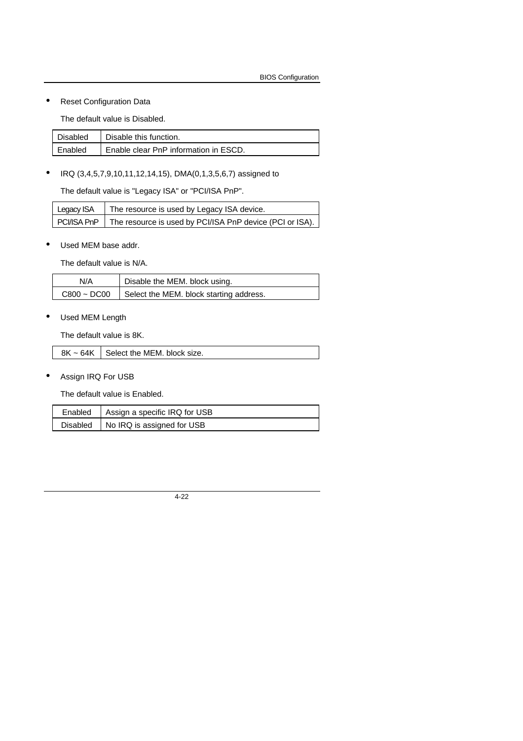#### **Reset Configuration Data**

The default value is Disabled.

| Disabled | Disable this function.                |
|----------|---------------------------------------|
| Enabled  | Enable clear PnP information in ESCD. |

• IRQ (3,4,5,7,9,10,11,12,14,15), DMA(0,1,3,5,6,7) assigned to

The default value is "Legacy ISA" or "PCI/ISA PnP".

| Legacy ISA | The resource is used by Legacy ISA device.                             |
|------------|------------------------------------------------------------------------|
|            | PCI/ISA PnP   The resource is used by PCI/ISA PnP device (PCI or ISA). |

#### Used MEM base addr.

The default value is N/A.

| N/A              | Disable the MEM. block using.           |
|------------------|-----------------------------------------|
| $C800 \sim DCO0$ | Select the MEM. block starting address. |

Used MEM Length

The default value is 8K.

 $8K \sim 64K$  Select the MEM. block size.

• Assign IRQ For USB

The default value is Enabled.

| Enabled   Assign a specific IRQ for USB |
|-----------------------------------------|
| Disabled   No IRQ is assigned for USB   |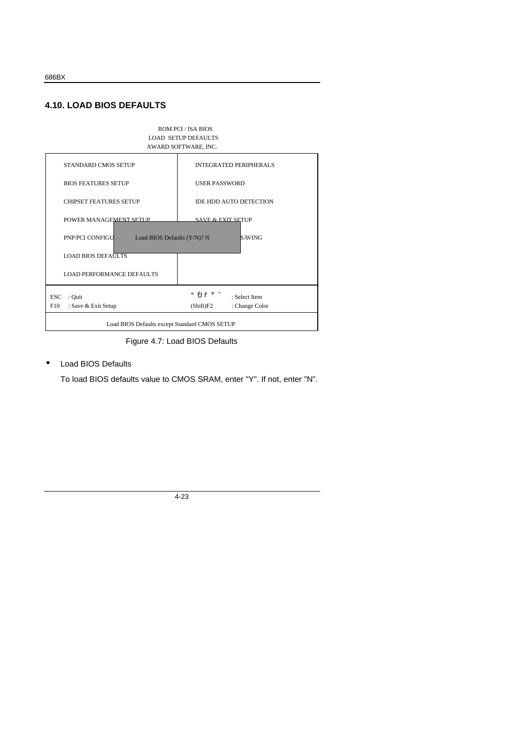## **4.10. LOAD BIOS DEFAULTS**



Figure 4.7: Load BIOS Defaults

#### • Load BIOS Defaults

To load BIOS defaults value to CMOS SRAM, enter "Y". If not, enter "N".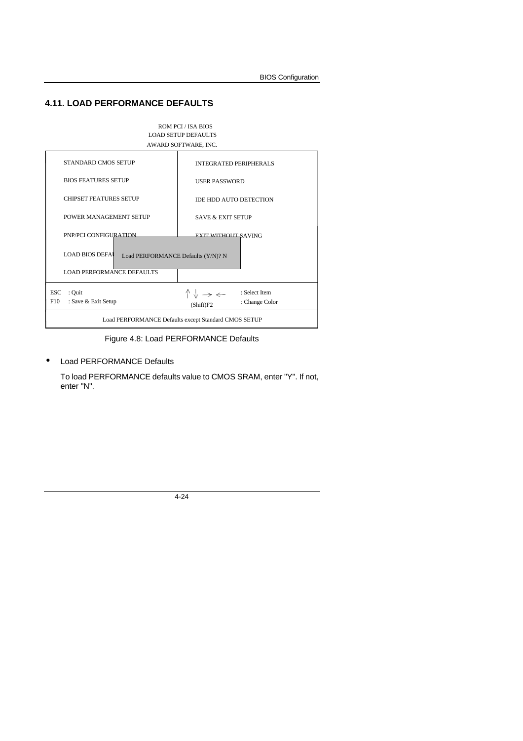## **4.11. LOAD PERFORMANCE DEFAULTS**



Figure 4.8: Load PERFORMANCE Defaults

#### Load PERFORMANCE Defaults

To load PERFORMANCE defaults value to CMOS SRAM, enter "Y". If not, enter "N".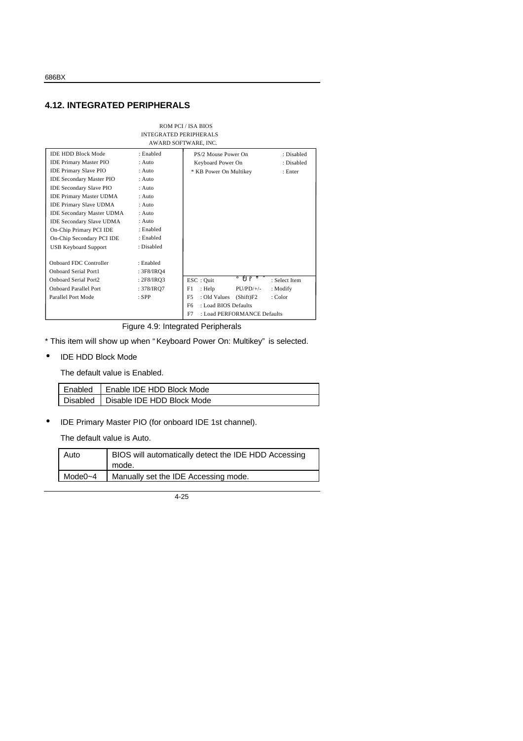## **4.12. INTEGRATED PERIPHERALS**

|                                                                                                                                                                                                                                                                                                                                                                                                                                                                  | <b>INTEGRATED PERIPHERALS</b>                                                                                                                                                  | <b>ROM PCI / ISA BIOS</b><br>AWARD SOFTWARE, INC.                                                  |                                     |
|------------------------------------------------------------------------------------------------------------------------------------------------------------------------------------------------------------------------------------------------------------------------------------------------------------------------------------------------------------------------------------------------------------------------------------------------------------------|--------------------------------------------------------------------------------------------------------------------------------------------------------------------------------|----------------------------------------------------------------------------------------------------|-------------------------------------|
| <b>IDE HDD Block Mode</b><br><b>IDE Primary Master PIO</b><br><b>IDE Primary Slave PIO</b><br><b>IDE Secondary Master PIO</b><br><b>IDE Secondary Slave PIO</b><br><b>IDE Primary Master UDMA</b><br><b>IDE Primary Slave UDMA</b><br><b>IDE Secondary Master UDMA</b><br><b>IDE Secondary Slave UDMA</b><br>On-Chip Primary PCI IDE<br>On-Chip Secondary PCI IDE<br><b>USB Keyboard Support</b><br><b>Onboard FDC Controller</b><br><b>Onboard Serial Port1</b> | : Enabled<br>$:$ Auto<br>$:$ Auto<br>$:$ Auto<br>$:$ Auto<br>$:$ Auto<br>$:$ Auto<br>$:$ Auto<br>$:$ Auto<br>: Enabled<br>: Enabled<br>: Disabled<br>: Enabled<br>: $3F8/IRQ4$ | PS/2 Mouse Power On<br>Keyboard Power On<br>* KB Power On Multikey                                 | : Disabled<br>: Disabled<br>: Enter |
| Onboard Serial Port2                                                                                                                                                                                                                                                                                                                                                                                                                                             | : $2F8/IRO3$                                                                                                                                                                   | i ÔP̃⊭Ö<br>ESC: Quit                                                                               | : Select Item                       |
| <b>Onboard Parallel Port</b><br>Parallel Port Mode                                                                                                                                                                                                                                                                                                                                                                                                               | : 378/IRO7<br>$:$ SPP                                                                                                                                                          | $PU/PD/+/-$<br>F1.<br>: Help<br>: Modify<br>F <sub>5</sub><br>: Old Values<br>(Shift)F2<br>: Color |                                     |
|                                                                                                                                                                                                                                                                                                                                                                                                                                                                  |                                                                                                                                                                                | : Load BIOS Defaults<br>F <sub>6</sub>                                                             |                                     |
|                                                                                                                                                                                                                                                                                                                                                                                                                                                                  |                                                                                                                                                                                | : Load PERFORMANCE Defaults<br>F7                                                                  |                                     |

Figure 4.9: Integrated Peripherals

\* This item will show up when " Keyboard Power On: Multikey" is selected.

• IDE HDD Block Mode

The default value is Enabled.

| Enabled   Enable IDE HDD Block Mode   |
|---------------------------------------|
| Disabled   Disable IDE HDD Block Mode |

• IDE Primary Master PIO (for onboard IDE 1st channel).

The default value is Auto.

| Auto    | BIOS will automatically detect the IDE HDD Accessing<br>mode. |
|---------|---------------------------------------------------------------|
| Mode0~4 | Manually set the IDE Accessing mode.                          |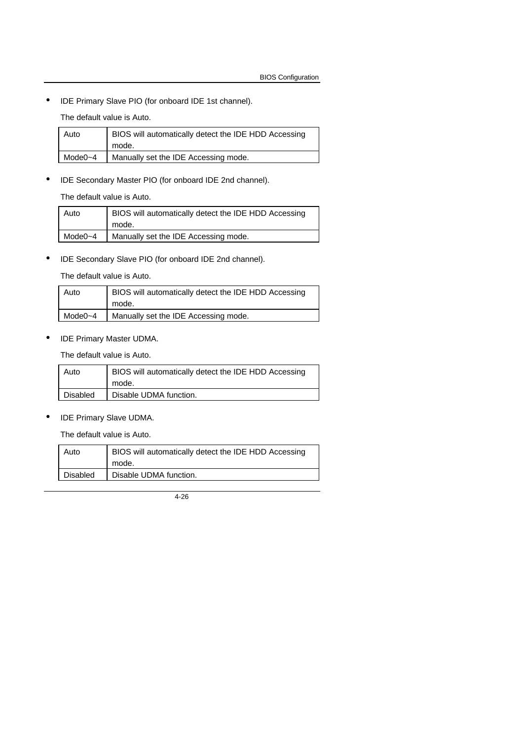• IDE Primary Slave PIO (for onboard IDE 1st channel).

The default value is Auto.

| Auto    | BIOS will automatically detect the IDE HDD Accessing |
|---------|------------------------------------------------------|
|         | mode.                                                |
| Mode0~4 | Manually set the IDE Accessing mode.                 |
|         |                                                      |

• IDE Secondary Master PIO (for onboard IDE 2nd channel).

The default value is Auto.

| Auto         | BIOS will automatically detect the IDE HDD Accessing |
|--------------|------------------------------------------------------|
|              | mode.                                                |
| Mode $0 - 4$ | Manually set the IDE Accessing mode.                 |

• IDE Secondary Slave PIO (for onboard IDE 2nd channel).

The default value is Auto.

| Auto    | BIOS will automatically detect the IDE HDD Accessing |
|---------|------------------------------------------------------|
|         | mode.                                                |
| Mode0~4 | Manually set the IDE Accessing mode.                 |

• IDE Primary Master UDMA.

The default value is Auto.

| Auto            | BIOS will automatically detect the IDE HDD Accessing |
|-----------------|------------------------------------------------------|
|                 | mode.                                                |
| <b>Disabled</b> | Disable UDMA function.                               |

• IDE Primary Slave UDMA.

The default value is Auto.

| Auto     | BIOS will automatically detect the IDE HDD Accessing<br>mode. |
|----------|---------------------------------------------------------------|
| Disabled | Disable UDMA function.                                        |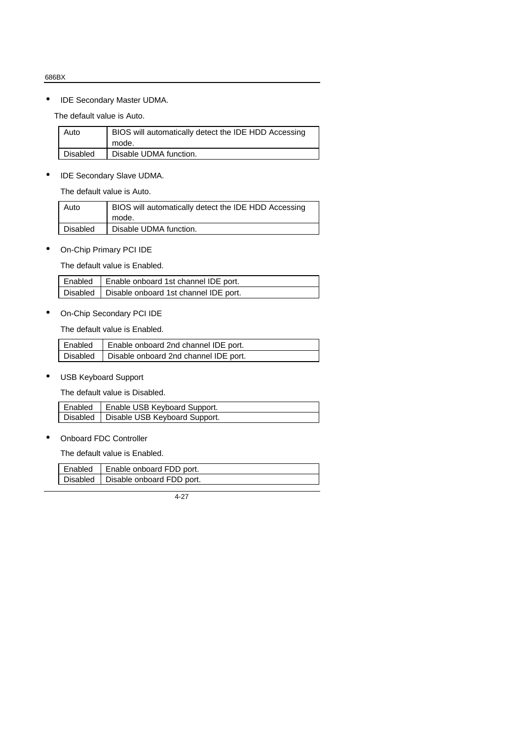• IDE Secondary Master UDMA.

The default value is Auto.

| Auto     | BIOS will automatically detect the IDE HDD Accessing<br>mode. |
|----------|---------------------------------------------------------------|
| Disabled | Disable UDMA function.                                        |

• IDE Secondary Slave UDMA.

The default value is Auto.

| Auto            | BIOS will automatically detect the IDE HDD Accessing<br>mode. |
|-----------------|---------------------------------------------------------------|
| <b>Disabled</b> | Disable UDMA function.                                        |

• On-Chip Primary PCI IDE

The default value is Enabled.

| Enabled   Enable onboard 1st channel IDE port.   |
|--------------------------------------------------|
| Disabled   Disable onboard 1st channel IDE port. |

• On-Chip Secondary PCI IDE

The default value is Enabled.

| Enabled   Enable onboard 2nd channel IDE port.   |
|--------------------------------------------------|
| Disabled   Disable onboard 2nd channel IDE port. |

• USB Keyboard Support

The default value is Disabled.

| Enabled   Enable USB Keyboard Support.   |
|------------------------------------------|
| Disabled   Disable USB Keyboard Support. |

• Onboard FDC Controller

The default value is Enabled.

| Enabled | Enable onboard FDD port.             |
|---------|--------------------------------------|
|         | Disabled   Disable onboard FDD port. |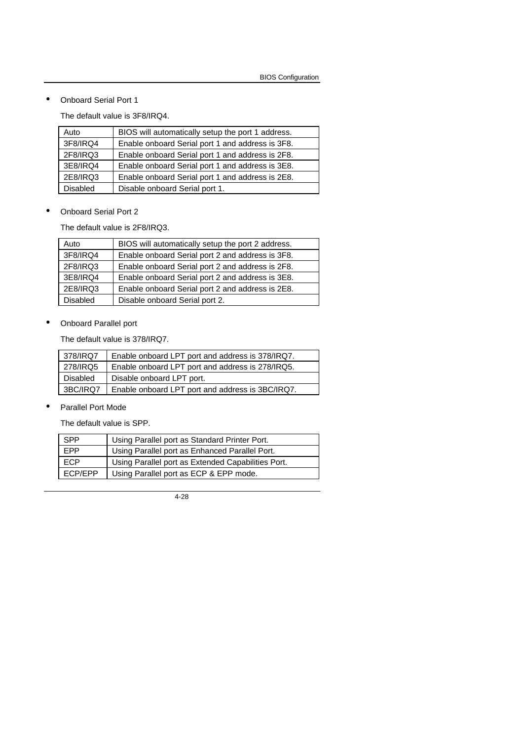• Onboard Serial Port 1

The default value is 3F8/IRQ4.

| Auto            | BIOS will automatically setup the port 1 address. |
|-----------------|---------------------------------------------------|
| 3F8/IRQ4        | Enable onboard Serial port 1 and address is 3F8.  |
| 2F8/IRQ3        | Enable onboard Serial port 1 and address is 2F8.  |
| 3E8/IRQ4        | Enable onboard Serial port 1 and address is 3E8.  |
| 2E8/IRQ3        | Enable onboard Serial port 1 and address is 2E8.  |
| <b>Disabled</b> | Disable onboard Serial port 1.                    |

• Onboard Serial Port 2

The default value is 2F8/IRQ3.

| Auto            | BIOS will automatically setup the port 2 address. |
|-----------------|---------------------------------------------------|
| 3F8/IRQ4        | Enable onboard Serial port 2 and address is 3F8.  |
| 2F8/IRQ3        | Enable onboard Serial port 2 and address is 2F8.  |
| 3E8/IRQ4        | Enable onboard Serial port 2 and address is 3E8.  |
| 2E8/IRQ3        | Enable onboard Serial port 2 and address is 2E8.  |
| <b>Disabled</b> | Disable onboard Serial port 2.                    |

• Onboard Parallel port

The default value is 378/IRQ7.

| 378/IRQ7 | Enable onboard LPT port and address is 378/IRQ7. |
|----------|--------------------------------------------------|
| 278/IRQ5 | Enable onboard LPT port and address is 278/IRQ5. |
| Disabled | Disable onboard LPT port.                        |
| 3BC/IRQ7 | Enable onboard LPT port and address is 3BC/IRQ7. |

• Parallel Port Mode

The default value is SPP.

| <b>SPP</b> | Using Parallel port as Standard Printer Port.      |
|------------|----------------------------------------------------|
| <b>FPP</b> | Using Parallel port as Enhanced Parallel Port.     |
| <b>ECP</b> | Using Parallel port as Extended Capabilities Port. |
| ECP/EPP    | Using Parallel port as ECP & EPP mode.             |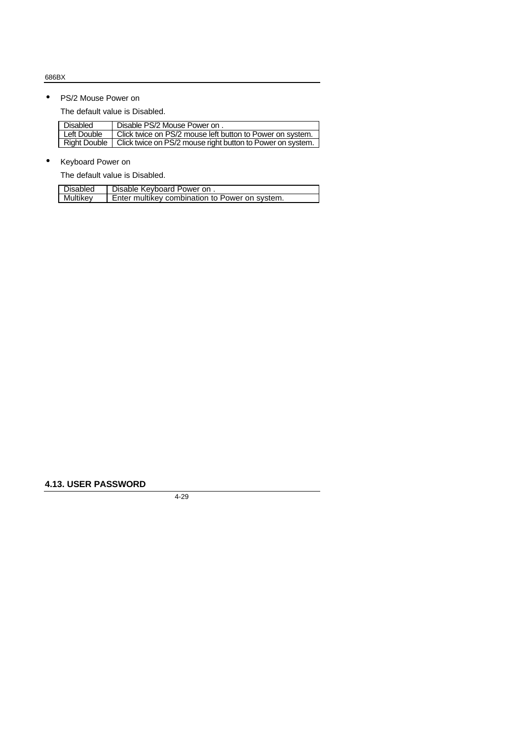## • PS/2 Mouse Power on

The default value is Disabled.

| <b>Disabled</b> | Disable PS/2 Mouse Power on.                               |
|-----------------|------------------------------------------------------------|
| Left Double     | Click twice on PS/2 mouse left button to Power on system.  |
| Right Double    | Click twice on PS/2 mouse right button to Power on system. |

## • Keyboard Power on

The default value is Disabled.

| Disabled | Disable Keyboard Power on.                     |
|----------|------------------------------------------------|
| Multikev | Enter multikey combination to Power on system. |

## **4.13. USER PASSWORD**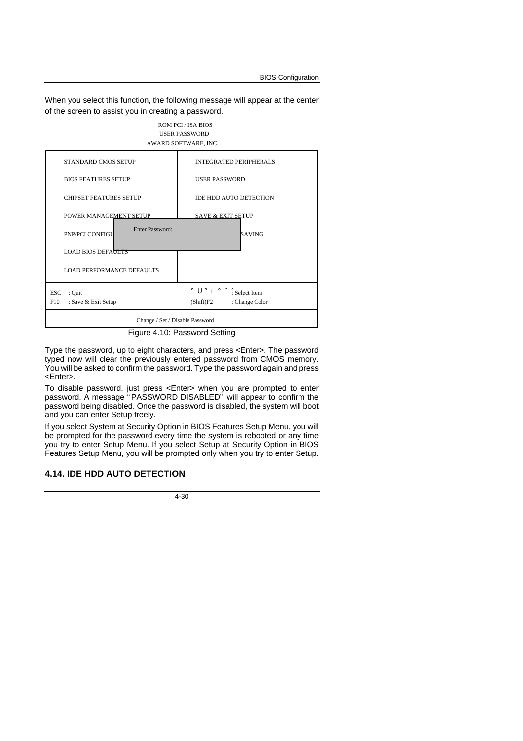When you select this function, the following message will appear at the center of the screen to assist you in creating a password.



Figure 4.10: Password Setting

Type the password, up to eight characters, and press <Enter>. The password typed now will clear the previously entered password from CMOS memory. You will be asked to confirm the password. Type the password again and press <Enter>.

To disable password, just press <Enter> when you are prompted to enter password. A message " PASSWORD DISABLED" will appear to confirm the password being disabled. Once the password is disabled, the system will boot and you can enter Setup freely.

If you select System at Security Option in BIOS Features Setup Menu, you will be prompted for the password every time the system is rebooted or any time you try to enter Setup Menu. If you select Setup at Security Option in BIOS Features Setup Menu, you will be prompted only when you try to enter Setup.

#### **4.14. IDE HDD AUTO DETECTION**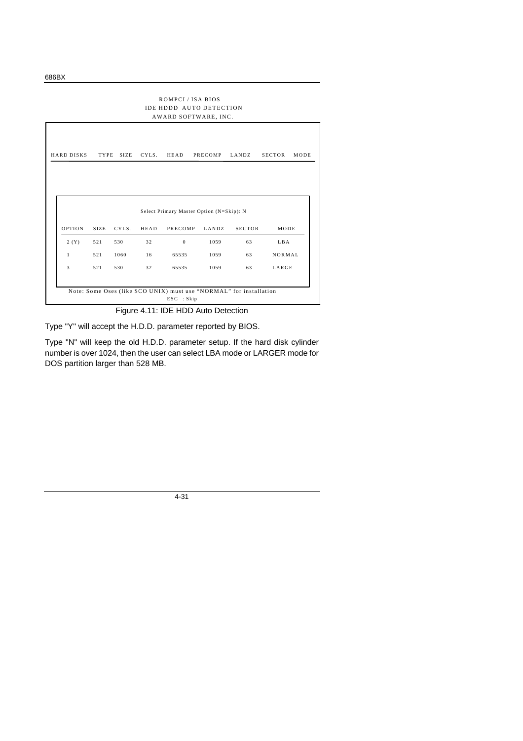| ROMPCI/ISA BIOS<br><b>IDE HDDD AUTO DETECTION</b><br>AWARD SOFTWARE, INC. |             |             |       |              |                                          |               |               |      |
|---------------------------------------------------------------------------|-------------|-------------|-------|--------------|------------------------------------------|---------------|---------------|------|
| <b>HARD DISKS</b>                                                         | TYPE        | <b>SIZE</b> | CYLS. | HEAD         | PRECOMP                                  | LANDZ         | <b>SECTOR</b> | MODE |
|                                                                           |             |             |       |              |                                          |               |               |      |
|                                                                           |             |             |       |              |                                          |               |               |      |
|                                                                           |             |             |       |              | Select Primary Master Option (N=Skip): N |               |               |      |
| <b>OPTION</b>                                                             | <b>SIZE</b> | CYLS.       | HEAD  | PRECOMP      | LANDZ                                    | <b>SECTOR</b> | MODE          |      |
| 2(Y)                                                                      | 521         | 530         | 32    | $\mathbf{0}$ | 1059                                     | 63            | LBA           |      |
| 1                                                                         | 521         | 1060        | 16    | 65535        | 1059                                     | 63            | NORMAL        |      |

Figure 4.11: IDE HDD Auto Detection

Type "Y" will accept the H.D.D. parameter reported by BIOS.

Type "N" will keep the old H.D.D. parameter setup. If the hard disk cylinder number is over 1024, then the user can select LBA mode or LARGER mode for DOS partition larger than 528 MB.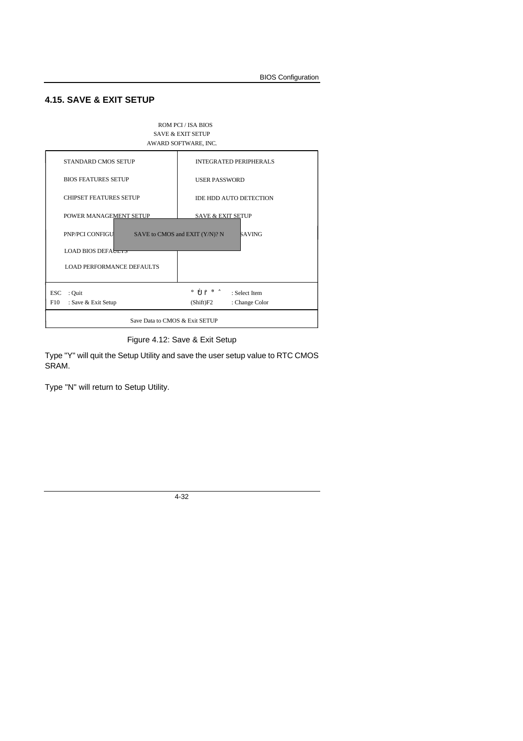## **4.15. SAVE & EXIT SETUP**



Figure 4.12: Save & Exit Setup

Type "Y" will quit the Setup Utility and save the user setup value to RTC CMOS SRAM.

Type "N" will return to Setup Utility.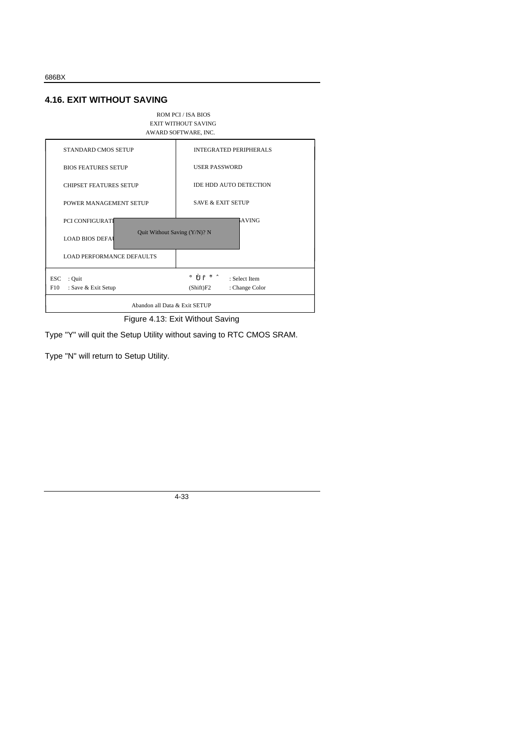#### **4.16. EXIT WITHOUT SAVING**



Figure 4.13: Exit Without Saving

Type "Y" will quit the Setup Utility without saving to RTC CMOS SRAM.

Type "N" will return to Setup Utility.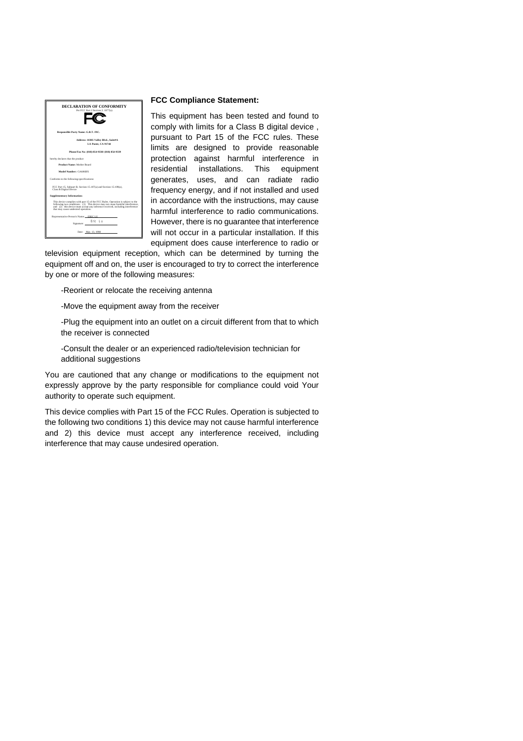

#### **FCC Compliance Statement:**

This equipment has been tested and found to comply with limits for a Class B digital device , pursuant to Part 15 of the FCC rules. These limits are designed to provide reasonable protection against harmful interference in residential installations. This equipment generates, uses, and can radiate radio frequency energy, and if not installed and used in accordance with the instructions, may cause harmful interference to radio communications. However, there is no guarantee that interference will not occur in a particular installation. If this equipment does cause interference to radio or

television equipment reception, which can be determined by turning the equipment off and on, the user is encouraged to try to correct the interference by one or more of the following measures:

-Reorient or relocate the receiving antenna

-Move the equipment away from the receiver

-Plug the equipment into an outlet on a circuit different from that to which the receiver is connected

-Consult the dealer or an experienced radio/television technician for additional suggestions

You are cautioned that any change or modifications to the equipment not expressly approve by the party responsible for compliance could void Your authority to operate such equipment.

This device complies with Part 15 of the FCC Rules. Operation is subjected to the following two conditions 1) this device may not cause harmful interference and 2) this device must accept any interference received, including interference that may cause undesired operation.